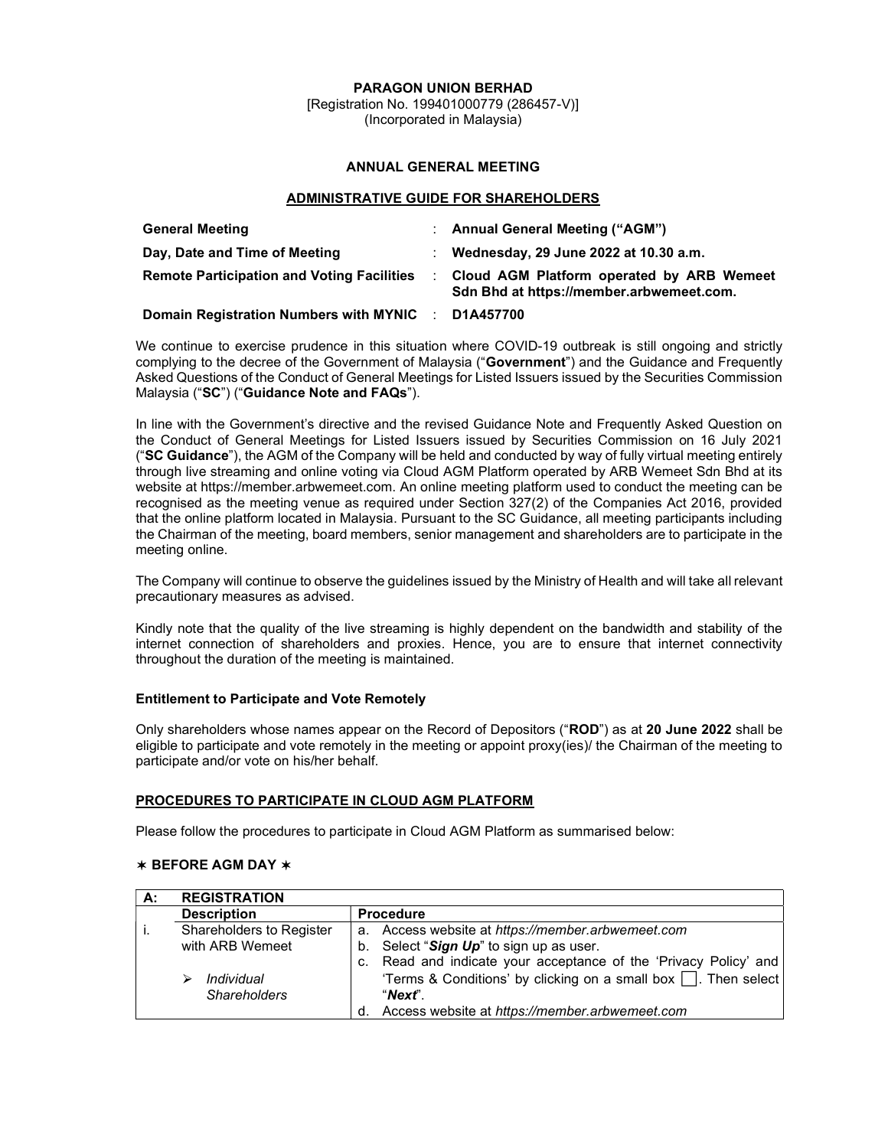PARAGON UNION BERHAD

[Registration No. 199401000779 (286457-V)] (Incorporated in Malaysia)

# ANNUAL GENERAL MEETING

## ADMINISTRATIVE GUIDE FOR SHAREHOLDERS

| <b>General Meeting</b>                             | : Annual General Meeting ("AGM")                                                      |
|----------------------------------------------------|---------------------------------------------------------------------------------------|
| Day, Date and Time of Meeting                      | Wednesday, 29 June 2022 at 10.30 a.m.                                                 |
| <b>Remote Participation and Voting Facilities</b>  | Cloud AGM Platform operated by ARB Wemeet<br>Sdn Bhd at https://member.arbwemeet.com. |
| Domain Registration Numbers with MYNIC : D1A457700 |                                                                                       |

We continue to exercise prudence in this situation where COVID-19 outbreak is still ongoing and strictly complying to the decree of the Government of Malaysia ("Government") and the Guidance and Frequently Asked Questions of the Conduct of General Meetings for Listed Issuers issued by the Securities Commission Malaysia ("SC") ("Guidance Note and FAQs").

In line with the Government's directive and the revised Guidance Note and Frequently Asked Question on the Conduct of General Meetings for Listed Issuers issued by Securities Commission on 16 July 2021 ("SC Guidance"), the AGM of the Company will be held and conducted by way of fully virtual meeting entirely through live streaming and online voting via Cloud AGM Platform operated by ARB Wemeet Sdn Bhd at its website at https://member.arbwemeet.com. An online meeting platform used to conduct the meeting can be recognised as the meeting venue as required under Section 327(2) of the Companies Act 2016, provided that the online platform located in Malaysia. Pursuant to the SC Guidance, all meeting participants including the Chairman of the meeting, board members, senior management and shareholders are to participate in the meeting online.

The Company will continue to observe the guidelines issued by the Ministry of Health and will take all relevant precautionary measures as advised.

Kindly note that the quality of the live streaming is highly dependent on the bandwidth and stability of the internet connection of shareholders and proxies. Hence, you are to ensure that internet connectivity throughout the duration of the meeting is maintained.

# Entitlement to Participate and Vote Remotely

Only shareholders whose names appear on the Record of Depositors ("ROD") as at 20 June 2022 shall be eligible to participate and vote remotely in the meeting or appoint proxy(ies)/ the Chairman of the meeting to participate and/or vote on his/her behalf.

## PROCEDURES TO PARTICIPATE IN CLOUD AGM PLATFORM

Please follow the procedures to participate in Cloud AGM Platform as summarised below:

## ✶ BEFORE AGM DAY ✶

| А: | <b>REGISTRATION</b>      |                                                                      |
|----|--------------------------|----------------------------------------------------------------------|
|    | <b>Description</b>       | <b>Procedure</b>                                                     |
|    | Shareholders to Register | a. Access website at https://member.arbwemeet.com                    |
|    | with ARB Wemeet          | b. Select "Sign Up" to sign up as user.                              |
|    |                          | c. Read and indicate your acceptance of the 'Privacy Policy' and     |
|    | Individual               | 'Terms & Conditions' by clicking on a small box $\Box$ . Then select |
|    | <b>Shareholders</b>      | "Next"                                                               |
|    |                          | Access website at https://member.arbwemeet.com<br>d.                 |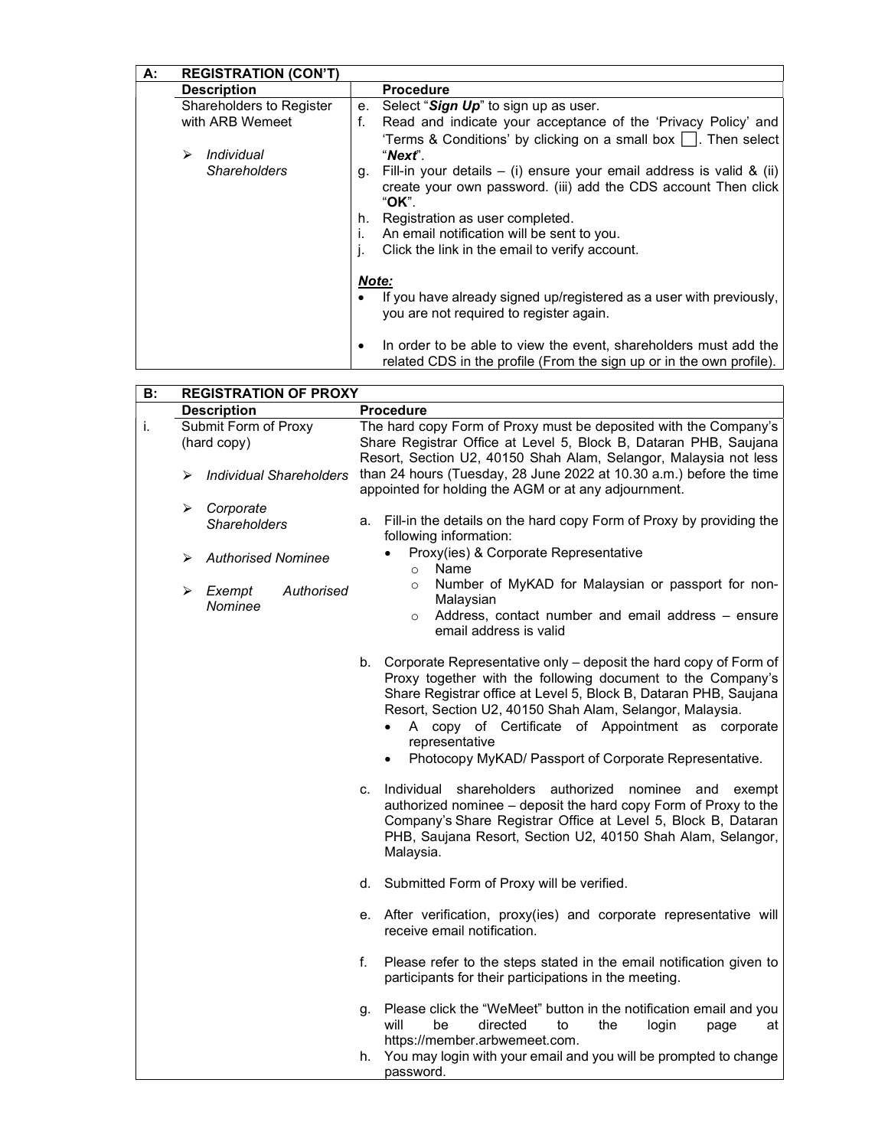| А: | <b>REGISTRATION (CON'T)</b> |       |                                                                                                                                                   |
|----|-----------------------------|-------|---------------------------------------------------------------------------------------------------------------------------------------------------|
|    | <b>Description</b>          |       | <b>Procedure</b>                                                                                                                                  |
|    | Shareholders to Register    | е.    | Select "Sign Up" to sign up as user.                                                                                                              |
|    | with ARB Wemeet             | f.    | Read and indicate your acceptance of the 'Privacy Policy' and                                                                                     |
|    |                             |       | 'Terms & Conditions' by clicking on a small box $\Box$ . Then select                                                                              |
|    | Individual<br>⋗             |       | "Nexť".                                                                                                                                           |
|    | <b>Shareholders</b>         | g.    | Fill-in your details $-$ (i) ensure your email address is valid & (ii)<br>create your own password. (iii) add the CDS account Then click<br>"OK". |
|    |                             | h.    | Registration as user completed.                                                                                                                   |
|    |                             |       | An email notification will be sent to you.                                                                                                        |
|    |                             | j.    | Click the link in the email to verify account.                                                                                                    |
|    |                             | Note: |                                                                                                                                                   |
|    |                             |       | If you have already signed up/registered as a user with previously,<br>you are not required to register again.                                    |
|    |                             |       | In order to be able to view the event, shareholders must add the<br>related CDS in the profile (From the sign up or in the own profile).          |

| В: | <b>REGISTRATION OF PROXY</b>          |                                                                                                                                                                                                                                                                                                                                                                                                                  |  |  |
|----|---------------------------------------|------------------------------------------------------------------------------------------------------------------------------------------------------------------------------------------------------------------------------------------------------------------------------------------------------------------------------------------------------------------------------------------------------------------|--|--|
|    | <b>Description</b>                    | <b>Procedure</b>                                                                                                                                                                                                                                                                                                                                                                                                 |  |  |
| i. | Submit Form of Proxy<br>(hard copy)   | The hard copy Form of Proxy must be deposited with the Company's<br>Share Registrar Office at Level 5, Block B, Dataran PHB, Saujana<br>Resort, Section U2, 40150 Shah Alam, Selangor, Malaysia not less                                                                                                                                                                                                         |  |  |
|    | <b>Individual Shareholders</b><br>⋗   | than 24 hours (Tuesday, 28 June 2022 at 10.30 a.m.) before the time<br>appointed for holding the AGM or at any adjournment.                                                                                                                                                                                                                                                                                      |  |  |
|    | Corporate<br>➤<br><b>Shareholders</b> | Fill-in the details on the hard copy Form of Proxy by providing the<br>а.<br>following information:                                                                                                                                                                                                                                                                                                              |  |  |
|    | <b>Authorised Nominee</b><br>⋗        | Proxy(ies) & Corporate Representative<br>Name<br>$\circ$                                                                                                                                                                                                                                                                                                                                                         |  |  |
|    | Authorised<br>Exempt<br>➤<br>Nominee  | Number of MyKAD for Malaysian or passport for non-<br>$\circ$<br>Malaysian                                                                                                                                                                                                                                                                                                                                       |  |  |
|    |                                       | Address, contact number and email address - ensure<br>$\circ$<br>email address is valid                                                                                                                                                                                                                                                                                                                          |  |  |
|    |                                       | b. Corporate Representative only - deposit the hard copy of Form of<br>Proxy together with the following document to the Company's<br>Share Registrar office at Level 5, Block B, Dataran PHB, Saujana<br>Resort, Section U2, 40150 Shah Alam, Selangor, Malaysia.<br>A copy of Certificate of Appointment as corporate<br>$\bullet$<br>representative<br>Photocopy MyKAD/ Passport of Corporate Representative. |  |  |
|    |                                       | Individual shareholders authorized nominee and<br>exempt<br>C.<br>authorized nominee - deposit the hard copy Form of Proxy to the<br>Company's Share Registrar Office at Level 5, Block B, Dataran<br>PHB, Saujana Resort, Section U2, 40150 Shah Alam, Selangor,<br>Malaysia.                                                                                                                                   |  |  |
|    |                                       | d. Submitted Form of Proxy will be verified.                                                                                                                                                                                                                                                                                                                                                                     |  |  |
|    |                                       | e. After verification, proxy(ies) and corporate representative will<br>receive email notification.                                                                                                                                                                                                                                                                                                               |  |  |
|    |                                       | f.<br>Please refer to the steps stated in the email notification given to<br>participants for their participations in the meeting.                                                                                                                                                                                                                                                                               |  |  |
|    |                                       | Please click the "WeMeet" button in the notification email and you<br>g.<br>will<br>be<br>directed<br>the<br>to<br>login<br>page<br>at<br>https://member.arbwemeet.com.                                                                                                                                                                                                                                          |  |  |
|    |                                       | You may login with your email and you will be prompted to change<br>h.<br>password.                                                                                                                                                                                                                                                                                                                              |  |  |